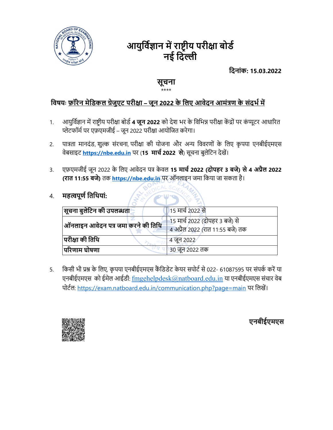

# आयुर्विज्ञान में राष्ट्रीय परीक्षा बोर्ड नई दिल्ली

िदनांक: 15.03.2022

# सूचना

#### \*\*\*\*

## <u>विषयः फ़ॉरेन मेडिकल ग्रेजुएट परीक्षा – जून 2022 के लिए आवेदन आमंत्रण के संदर्भ में </u>

- 1. आयुर्विज्ञान में राष्ट्रीय परीक्षा बोर्ड 4 **जून 2022** को देश भर के विभिन्न परीक्षा केंद्रों पर कंप्यूटर आधारित प्लेटफॉर्म पर एफ़एमजीई – जून 2022 परीक्षा आयोजित करेगा।
- 2. पात्रता मानदंड, शुल्क संरचना, परीक्षा की योजना और अन्य विवरणों के लिए कृपया एनबीईएमएस वेबसाइट https://nbe.edu.in पर (15 मार्च 2022 से) सूचना बुलेटिन देखें।
- 3. एफ़एमजीई जून 2022 के लिए आवेदन पत्र केवल 15 मार्च 2022 (दोपहर 3 बजे) से 4 अप्रैल 2022 (रात 11:55 बजे) तक https://nbe.edu.in पर ऑनलाइन जमा किया जा सकता है।

## 4. महत्वपूर्ण तिथियां:

| $ \mathbf{q}$ चना बुलेटिन की उपलब्धता | 15 मार्च 2022 से                                                   |
|---------------------------------------|--------------------------------------------------------------------|
| ऑनलाइन आवेदन पत्र जमा करने की तिथि    | 15 मार्च 2022 (दोपहर 3 बजे) से<br>4 अप्रैल 2022 (रात 11:55 बजे) तक |
| परीक्षा की तिथि                       | 4 जून 2022                                                         |
| परिणाम घोषणा                          | 30 जून 2022 तक                                                     |

5. किसी भी प्रश्न के लिए, कृपया एनबीईएमएस कैंडिडेट केयर सपोर्ट से 022- 61087595 पर संपर्क करें या एनबीईएमएस को ईमेल आईडी: fmgehelpdesk@natboard.edu.in या एनबीईएमएस संचार वेब पोर्टल: https://exam.natboard.edu.in/communication.php?page=main पर लिखें।



एनबीईएमएस